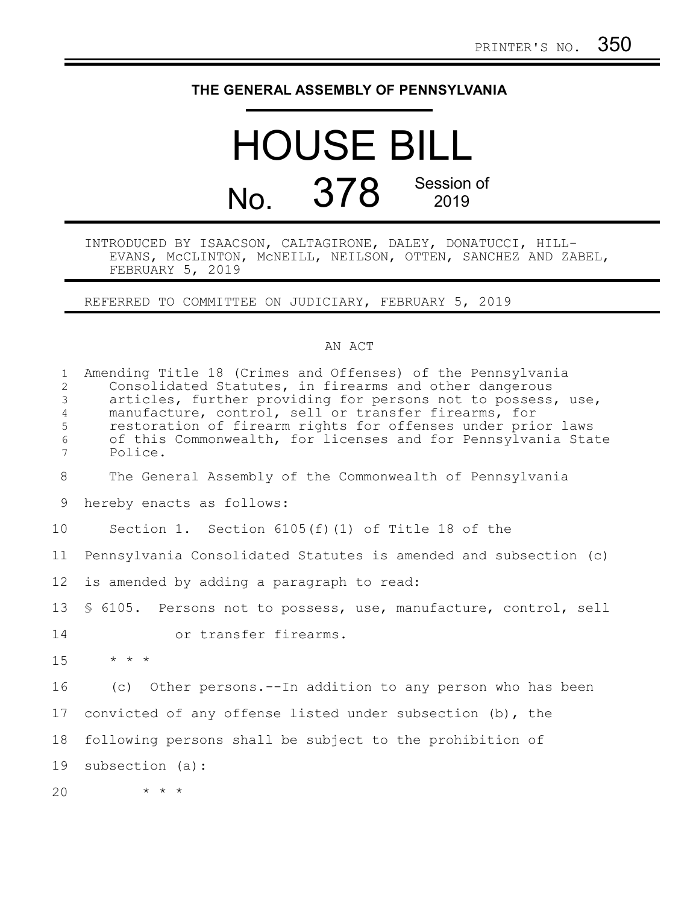## **THE GENERAL ASSEMBLY OF PENNSYLVANIA**

## HOUSE BILL No. 378 Session of 2019

## INTRODUCED BY ISAACSON, CALTAGIRONE, DALEY, DONATUCCI, HILL-EVANS, McCLINTON, McNEILL, NEILSON, OTTEN, SANCHEZ AND ZABEL, FEBRUARY 5, 2019

REFERRED TO COMMITTEE ON JUDICIARY, FEBRUARY 5, 2019

## AN ACT

| $\mathbf{1}$<br>$\overline{2}$<br>3<br>$\overline{4}$<br>5<br>6<br>7 | Amending Title 18 (Crimes and Offenses) of the Pennsylvania<br>Consolidated Statutes, in firearms and other dangerous<br>articles, further providing for persons not to possess, use,<br>manufacture, control, sell or transfer firearms, for<br>restoration of firearm rights for offenses under prior laws<br>of this Commonwealth, for licenses and for Pennsylvania State<br>Police. |
|----------------------------------------------------------------------|------------------------------------------------------------------------------------------------------------------------------------------------------------------------------------------------------------------------------------------------------------------------------------------------------------------------------------------------------------------------------------------|
| 8                                                                    | The General Assembly of the Commonwealth of Pennsylvania                                                                                                                                                                                                                                                                                                                                 |
| 9                                                                    | hereby enacts as follows:                                                                                                                                                                                                                                                                                                                                                                |
| 10                                                                   | Section 1. Section $6105(f)(1)$ of Title 18 of the                                                                                                                                                                                                                                                                                                                                       |
| 11                                                                   | Pennsylvania Consolidated Statutes is amended and subsection (c)                                                                                                                                                                                                                                                                                                                         |
| 12                                                                   | is amended by adding a paragraph to read:                                                                                                                                                                                                                                                                                                                                                |
| 13                                                                   | \$ 6105. Persons not to possess, use, manufacture, control, sell                                                                                                                                                                                                                                                                                                                         |
| 14                                                                   | or transfer firearms.                                                                                                                                                                                                                                                                                                                                                                    |
| 15                                                                   | $\star$ $\star$ $\star$                                                                                                                                                                                                                                                                                                                                                                  |
| 16                                                                   | (c) Other persons.--In addition to any person who has been                                                                                                                                                                                                                                                                                                                               |
| 17                                                                   | convicted of any offense listed under subsection (b), the                                                                                                                                                                                                                                                                                                                                |
| 18                                                                   | following persons shall be subject to the prohibition of                                                                                                                                                                                                                                                                                                                                 |
| 19                                                                   | subsection (a):                                                                                                                                                                                                                                                                                                                                                                          |
| 20                                                                   | $\star$ $\star$ $\star$                                                                                                                                                                                                                                                                                                                                                                  |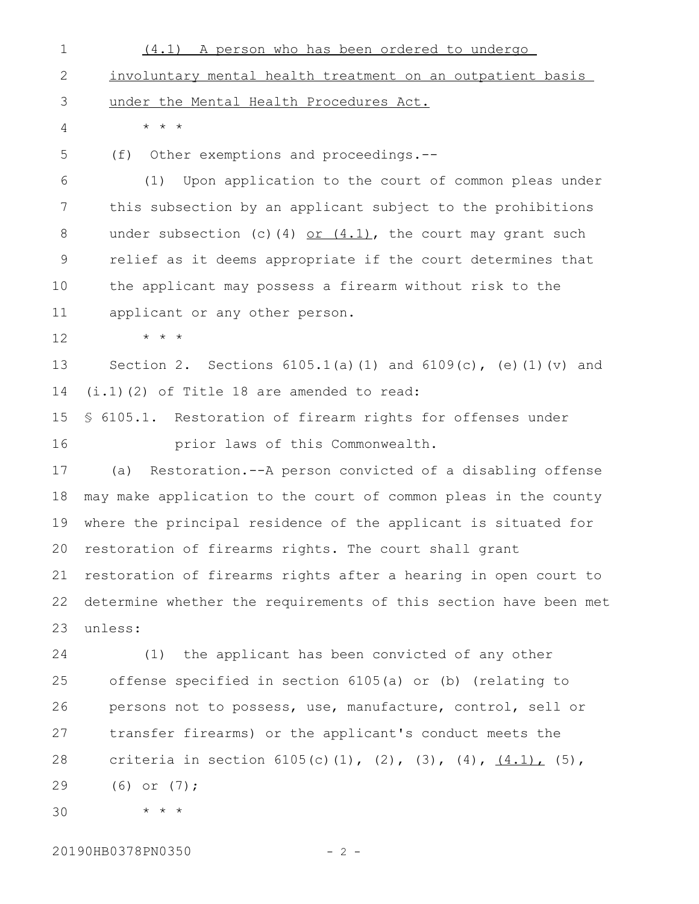(4.1) A person who has been ordered to undergo involuntary mental health treatment on an outpatient basis under the Mental Health Procedures Act. \* \* \* (f) Other exemptions and proceedings.-- (1) Upon application to the court of common pleas under this subsection by an applicant subject to the prohibitions under subsection (c)(4) or  $(4.1)$ , the court may grant such relief as it deems appropriate if the court determines that the applicant may possess a firearm without risk to the applicant or any other person. \* \* \* Section 2. Sections  $6105.1(a)(1)$  and  $6109(c)$ , (e)(1)(v) and (i.1)(2) of Title 18 are amended to read: § 6105.1. Restoration of firearm rights for offenses under prior laws of this Commonwealth. (a) Restoration.--A person convicted of a disabling offense may make application to the court of common pleas in the county where the principal residence of the applicant is situated for restoration of firearms rights. The court shall grant restoration of firearms rights after a hearing in open court to determine whether the requirements of this section have been met unless: (1) the applicant has been convicted of any other offense specified in section 6105(a) or (b) (relating to persons not to possess, use, manufacture, control, sell or transfer firearms) or the applicant's conduct meets the criteria in section  $6105(c)(1)$ ,  $(2)$ ,  $(3)$ ,  $(4)$ ,  $(4.1)$ ,  $(5)$ , (6) or (7); 1 2 3 4 5 6 7 8 9 10 11 12 13 14 15 16 17 18 19 20 21 22 23 24 25 26 27 28 29

\* \* \* 30

20190HB0378PN0350 - 2 -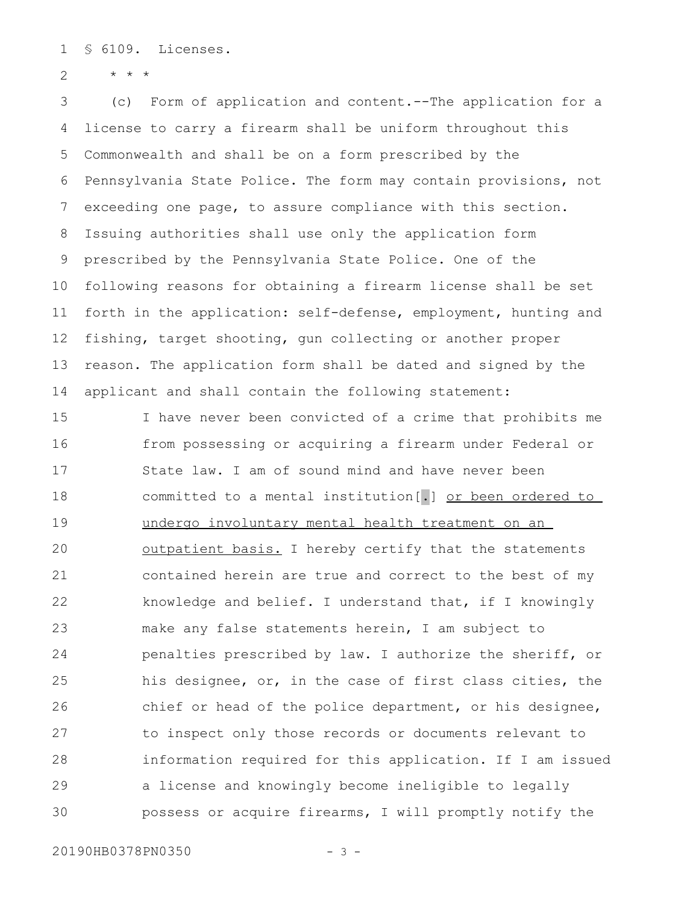§ 6109. Licenses. 1

\* \* \* 2

(c) Form of application and content.--The application for a license to carry a firearm shall be uniform throughout this Commonwealth and shall be on a form prescribed by the Pennsylvania State Police. The form may contain provisions, not exceeding one page, to assure compliance with this section. Issuing authorities shall use only the application form prescribed by the Pennsylvania State Police. One of the following reasons for obtaining a firearm license shall be set forth in the application: self-defense, employment, hunting and fishing, target shooting, gun collecting or another proper reason. The application form shall be dated and signed by the applicant and shall contain the following statement: 3 4 5 6 7 8 9 10 11 12 13 14

I have never been convicted of a crime that prohibits me from possessing or acquiring a firearm under Federal or State law. I am of sound mind and have never been committed to a mental institution[.] or been ordered to undergo involuntary mental health treatment on an outpatient basis. I hereby certify that the statements contained herein are true and correct to the best of my knowledge and belief. I understand that, if I knowingly make any false statements herein, I am subject to penalties prescribed by law. I authorize the sheriff, or his designee, or, in the case of first class cities, the chief or head of the police department, or his designee, to inspect only those records or documents relevant to information required for this application. If I am issued a license and knowingly become ineligible to legally possess or acquire firearms, I will promptly notify the 15 16 17 18 19 20 21 22 23 24 25 26 27 28 29 30

20190HB0378PN0350 - 3 -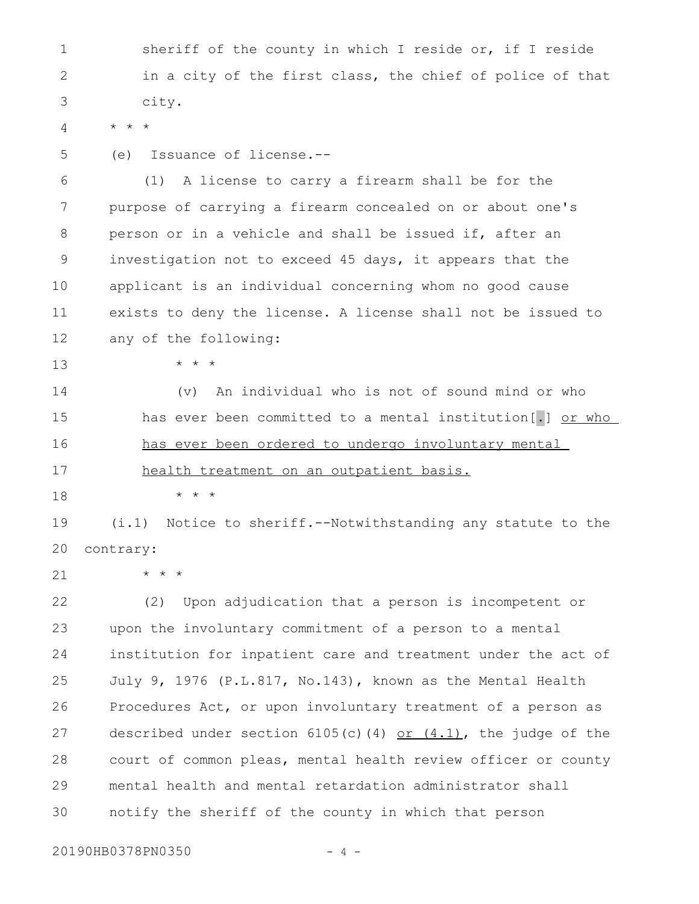sheriff of the county in which I reside or, if I reside in a city of the first class, the chief of police of that city. \* \* \* (e) Issuance of license.-- (1) A license to carry a firearm shall be for the purpose of carrying a firearm concealed on or about one's person or in a vehicle and shall be issued if, after an investigation not to exceed 45 days, it appears that the applicant is an individual concerning whom no good cause exists to deny the license. A license shall not be issued to any of the following: \* \* \* (v) An individual who is not of sound mind or who has ever been committed to a mental institution[.] or who has ever been ordered to undergo involuntary mental health treatment on an outpatient basis. \* \* \* (i.1) Notice to sheriff.--Notwithstanding any statute to the contrary: \* \* \* (2) Upon adjudication that a person is incompetent or upon the involuntary commitment of a person to a mental institution for inpatient care and treatment under the act of July 9, 1976 (P.L.817, No.143), known as the Mental Health Procedures Act, or upon involuntary treatment of a person as described under section  $6105(c)$  (4) or  $(4.1)$ , the judge of the court of common pleas, mental health review officer or county mental health and mental retardation administrator shall notify the sheriff of the county in which that person 1 2 3 4 5 6 7 8 9 10 11 12 13 14 15 16 17 18 19  $20$ 21 22 23 24 25 26 27 28 29 30

20190HB0378PN0350 - 4 -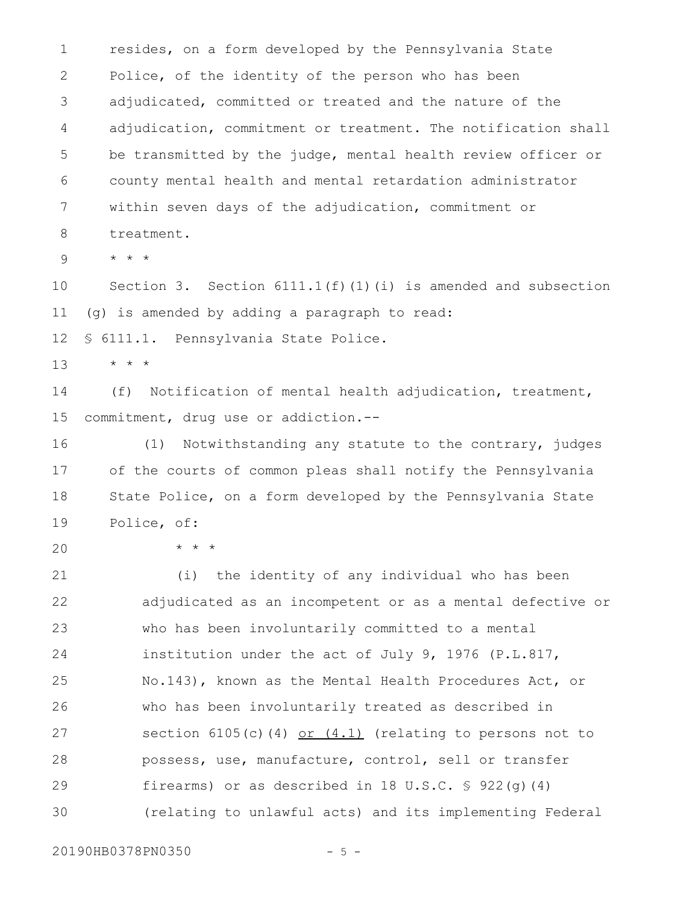resides, on a form developed by the Pennsylvania State Police, of the identity of the person who has been adjudicated, committed or treated and the nature of the adjudication, commitment or treatment. The notification shall be transmitted by the judge, mental health review officer or county mental health and mental retardation administrator within seven days of the adjudication, commitment or treatment. \* \* \* Section 3. Section  $6111.1(f)(1)(i)$  is amended and subsection (g) is amended by adding a paragraph to read: § 6111.1. Pennsylvania State Police. \* \* \* (f) Notification of mental health adjudication, treatment, commitment, drug use or addiction.-- (1) Notwithstanding any statute to the contrary, judges 1 2 3 4 5 6 7 8 9 10 11 12 13 14 15 16

of the courts of common pleas shall notify the Pennsylvania State Police, on a form developed by the Pennsylvania State Police, of: 17 18 19

20

\* \* \*

(i) the identity of any individual who has been adjudicated as an incompetent or as a mental defective or who has been involuntarily committed to a mental institution under the act of July 9, 1976 (P.L.817, No.143), known as the Mental Health Procedures Act, or who has been involuntarily treated as described in section  $6105(c)$ (4) or  $(4.1)$  (relating to persons not to possess, use, manufacture, control, sell or transfer firearms) or as described in 18 U.S.C.  $\frac{1}{5}$  922(q)(4) (relating to unlawful acts) and its implementing Federal 21 22 23 24 25 26 27 28 29 30

20190HB0378PN0350 - 5 -